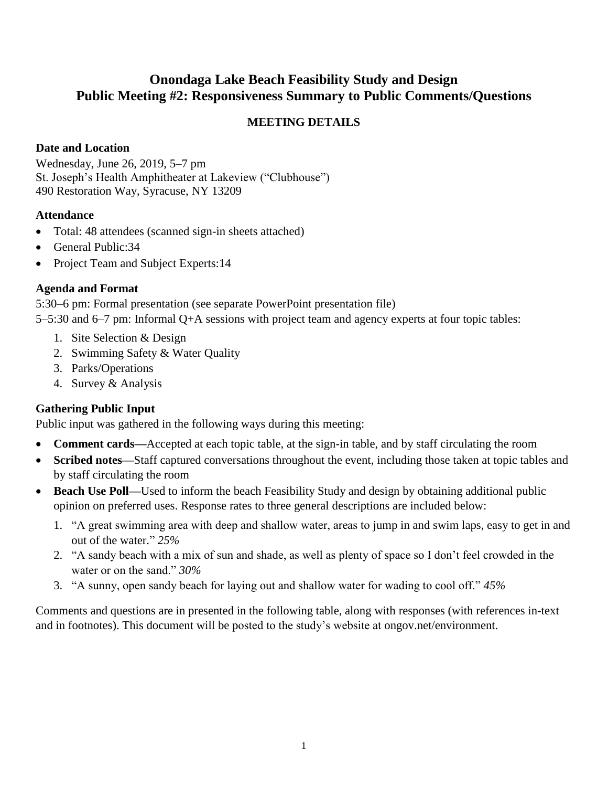# **Onondaga Lake Beach Feasibility Study and Design Public Meeting #2: Responsiveness Summary to Public Comments/Questions**

## **MEETING DETAILS**

### **Date and Location**

Wednesday, June 26, 2019, 5–7 pm St. Joseph's Health Amphitheater at Lakeview ("Clubhouse") 490 Restoration Way, Syracuse, NY 13209

#### **Attendance**

- Total: 48 attendees (scanned sign-in sheets attached)
- General Public: 34
- Project Team and Subject Experts:14

#### **Agenda and Format**

5:30–6 pm: Formal presentation (see separate PowerPoint presentation file) 5–5:30 and 6–7 pm: Informal Q+A sessions with project team and agency experts at four topic tables:

- 1. Site Selection & Design
- 2. Swimming Safety & Water Quality
- 3. Parks/Operations
- 4. Survey & Analysis

#### **Gathering Public Input**

Public input was gathered in the following ways during this meeting:

- **Comment cards—**Accepted at each topic table, at the sign-in table, and by staff circulating the room
- **Scribed notes—**Staff captured conversations throughout the event, including those taken at topic tables and by staff circulating the room
- **Beach Use Poll—**Used to inform the beach Feasibility Study and design by obtaining additional public opinion on preferred uses. Response rates to three general descriptions are included below:
	- 1. "A great swimming area with deep and shallow water, areas to jump in and swim laps, easy to get in and out of the water." *25%*
	- 2. "A sandy beach with a mix of sun and shade, as well as plenty of space so I don't feel crowded in the water or on the sand." *30%*
	- 3. "A sunny, open sandy beach for laying out and shallow water for wading to cool off." *45%*

Comments and questions are in presented in the following table, along with responses (with references in-text and in footnotes). This document will be posted to the study's website at ongov.net/environment.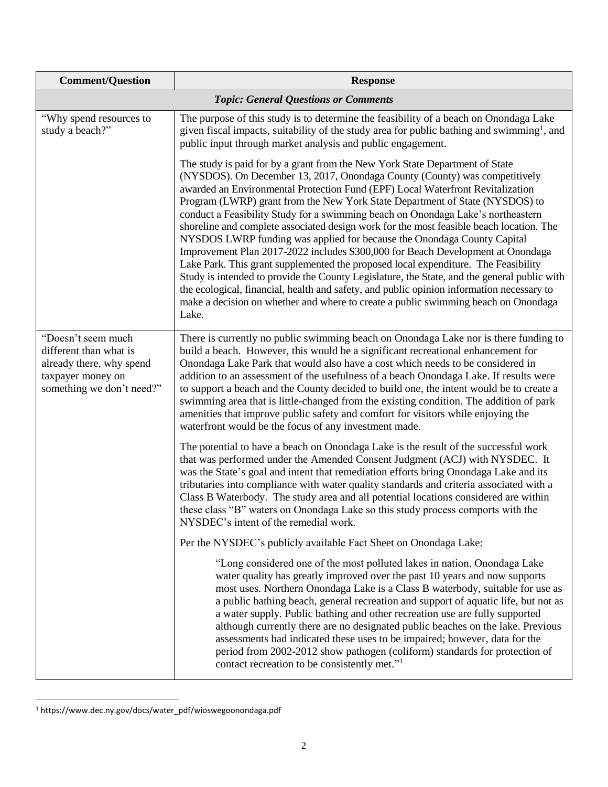| <b>Comment/Question</b>                                                                                                    | <b>Response</b>                                                                                                                                                                                                                                                                                                                                                                                                                                                                                                                                                                                                                                                                                                                                                                                                                                                                                                                                                                                                                                            |
|----------------------------------------------------------------------------------------------------------------------------|------------------------------------------------------------------------------------------------------------------------------------------------------------------------------------------------------------------------------------------------------------------------------------------------------------------------------------------------------------------------------------------------------------------------------------------------------------------------------------------------------------------------------------------------------------------------------------------------------------------------------------------------------------------------------------------------------------------------------------------------------------------------------------------------------------------------------------------------------------------------------------------------------------------------------------------------------------------------------------------------------------------------------------------------------------|
|                                                                                                                            | <b>Topic: General Questions or Comments</b>                                                                                                                                                                                                                                                                                                                                                                                                                                                                                                                                                                                                                                                                                                                                                                                                                                                                                                                                                                                                                |
| "Why spend resources to<br>study a beach?"                                                                                 | The purpose of this study is to determine the feasibility of a beach on Onondaga Lake<br>given fiscal impacts, suitability of the study area for public bathing and swimming <sup>1</sup> , and<br>public input through market analysis and public engagement.                                                                                                                                                                                                                                                                                                                                                                                                                                                                                                                                                                                                                                                                                                                                                                                             |
|                                                                                                                            | The study is paid for by a grant from the New York State Department of State<br>(NYSDOS). On December 13, 2017, Onondaga County (County) was competitively<br>awarded an Environmental Protection Fund (EPF) Local Waterfront Revitalization<br>Program (LWRP) grant from the New York State Department of State (NYSDOS) to<br>conduct a Feasibility Study for a swimming beach on Onondaga Lake's northeastern<br>shoreline and complete associated design work for the most feasible beach location. The<br>NYSDOS LWRP funding was applied for because the Onondaga County Capital<br>Improvement Plan 2017-2022 includes \$300,000 for Beach Development at Onondaga<br>Lake Park. This grant supplemented the proposed local expenditure. The Feasibility<br>Study is intended to provide the County Legislature, the State, and the general public with<br>the ecological, financial, health and safety, and public opinion information necessary to<br>make a decision on whether and where to create a public swimming beach on Onondaga<br>Lake. |
| "Doesn't seem much<br>different than what is<br>already there, why spend<br>taxpayer money on<br>something we don't need?" | There is currently no public swimming beach on Onondaga Lake nor is there funding to<br>build a beach. However, this would be a significant recreational enhancement for<br>Onondaga Lake Park that would also have a cost which needs to be considered in<br>addition to an assessment of the usefulness of a beach Onondaga Lake. If results were<br>to support a beach and the County decided to build one, the intent would be to create a<br>swimming area that is little-changed from the existing condition. The addition of park<br>amenities that improve public safety and comfort for visitors while enjoying the<br>waterfront would be the focus of any investment made.                                                                                                                                                                                                                                                                                                                                                                      |
|                                                                                                                            | The potential to have a beach on Onondaga Lake is the result of the successful work<br>that was performed under the Amended Consent Judgment (ACJ) with NYSDEC. It<br>was the State's goal and intent that remediation efforts bring Onondaga Lake and its<br>tributaries into compliance with water quality standards and criteria associated with a<br>Class B Waterbody. The study area and all potential locations considered are within<br>these class "B" waters on Onondaga Lake so this study process comports with the<br>NYSDEC's intent of the remedial work.                                                                                                                                                                                                                                                                                                                                                                                                                                                                                   |
|                                                                                                                            | Per the NYSDEC's publicly available Fact Sheet on Onondaga Lake:                                                                                                                                                                                                                                                                                                                                                                                                                                                                                                                                                                                                                                                                                                                                                                                                                                                                                                                                                                                           |
|                                                                                                                            | "Long considered one of the most polluted lakes in nation, Onondaga Lake<br>water quality has greatly improved over the past 10 years and now supports<br>most uses. Northern Onondaga Lake is a Class B waterbody, suitable for use as<br>a public bathing beach, general recreation and support of aquatic life, but not as<br>a water supply. Public bathing and other recreation use are fully supported<br>although currently there are no designated public beaches on the lake. Previous<br>assessments had indicated these uses to be impaired; however, data for the<br>period from 2002-2012 show pathogen (coliform) standards for protection of<br>contact recreation to be consistently met." <sup>1</sup>                                                                                                                                                                                                                                                                                                                                    |

 $\overline{a}$ <sup>1</sup> https://www.dec.ny.gov/docs/water\_pdf/wioswegoonondaga.pdf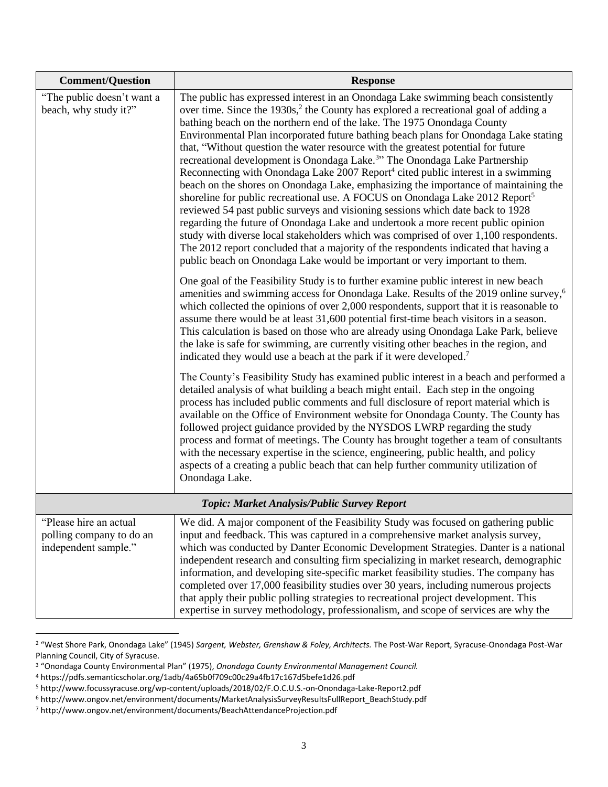| <b>Comment/Question</b>                                                    | <b>Response</b>                                                                                                                                                                                                                                                                                                                                                                                                                                                                                                                                                                                                                                                                                                                                                                                                                                                                                                                                                                                                                                                                                                                                                                                                                                                  |
|----------------------------------------------------------------------------|------------------------------------------------------------------------------------------------------------------------------------------------------------------------------------------------------------------------------------------------------------------------------------------------------------------------------------------------------------------------------------------------------------------------------------------------------------------------------------------------------------------------------------------------------------------------------------------------------------------------------------------------------------------------------------------------------------------------------------------------------------------------------------------------------------------------------------------------------------------------------------------------------------------------------------------------------------------------------------------------------------------------------------------------------------------------------------------------------------------------------------------------------------------------------------------------------------------------------------------------------------------|
| "The public doesn't want a<br>beach, why study it?"                        | The public has expressed interest in an Onondaga Lake swimming beach consistently<br>over time. Since the 1930s, <sup>2</sup> the County has explored a recreational goal of adding a<br>bathing beach on the northern end of the lake. The 1975 Onondaga County<br>Environmental Plan incorporated future bathing beach plans for Onondaga Lake stating<br>that, "Without question the water resource with the greatest potential for future<br>recreational development is Onondaga Lake. <sup>3</sup> " The Onondaga Lake Partnership<br>Reconnecting with Onondaga Lake 2007 Report <sup>4</sup> cited public interest in a swimming<br>beach on the shores on Onondaga Lake, emphasizing the importance of maintaining the<br>shoreline for public recreational use. A FOCUS on Onondaga Lake 2012 Report <sup>5</sup><br>reviewed 54 past public surveys and visioning sessions which date back to 1928<br>regarding the future of Onondaga Lake and undertook a more recent public opinion<br>study with diverse local stakeholders which was comprised of over 1,100 respondents.<br>The 2012 report concluded that a majority of the respondents indicated that having a<br>public beach on Onondaga Lake would be important or very important to them. |
|                                                                            | One goal of the Feasibility Study is to further examine public interest in new beach<br>amenities and swimming access for Onondaga Lake. Results of the 2019 online survey, <sup>6</sup><br>which collected the opinions of over 2,000 respondents, support that it is reasonable to<br>assume there would be at least 31,600 potential first-time beach visitors in a season.<br>This calculation is based on those who are already using Onondaga Lake Park, believe<br>the lake is safe for swimming, are currently visiting other beaches in the region, and<br>indicated they would use a beach at the park if it were developed. <sup>7</sup>                                                                                                                                                                                                                                                                                                                                                                                                                                                                                                                                                                                                              |
|                                                                            | The County's Feasibility Study has examined public interest in a beach and performed a<br>detailed analysis of what building a beach might entail. Each step in the ongoing<br>process has included public comments and full disclosure of report material which is<br>available on the Office of Environment website for Onondaga County. The County has<br>followed project guidance provided by the NYSDOS LWRP regarding the study<br>process and format of meetings. The County has brought together a team of consultants<br>with the necessary expertise in the science, engineering, public health, and policy<br>aspects of a creating a public beach that can help further community utilization of<br>Onondaga Lake.                                                                                                                                                                                                                                                                                                                                                                                                                                                                                                                                  |
|                                                                            | Topic: Market Analysis/Public Survey Report                                                                                                                                                                                                                                                                                                                                                                                                                                                                                                                                                                                                                                                                                                                                                                                                                                                                                                                                                                                                                                                                                                                                                                                                                      |
| "Please hire an actual<br>polling company to do an<br>independent sample." | We did. A major component of the Feasibility Study was focused on gathering public<br>input and feedback. This was captured in a comprehensive market analysis survey,<br>which was conducted by Danter Economic Development Strategies. Danter is a national<br>independent research and consulting firm specializing in market research, demographic<br>information, and developing site-specific market feasibility studies. The company has<br>completed over 17,000 feasibility studies over 30 years, including numerous projects<br>that apply their public polling strategies to recreational project development. This<br>expertise in survey methodology, professionalism, and scope of services are why the                                                                                                                                                                                                                                                                                                                                                                                                                                                                                                                                           |

<sup>2</sup> "West Shore Park, Onondaga Lake" (1945) *Sargent, Webster, Grenshaw & Foley, Architects.* The Post-War Report, Syracuse-Onondaga Post-War Planning Council, City of Syracuse.

<sup>3</sup> "Onondaga County Environmental Plan" (1975), *Onondaga County Environmental Management Council.*

<sup>4</sup> https://pdfs.semanticscholar.org/1adb/4a65b0f709c00c29a4fb17c167d5befe1d26.pdf

<sup>5</sup> http://www.focussyracuse.org/wp-content/uploads/2018/02/F.O.C.U.S.-on-Onondaga-Lake-Report2.pdf

<sup>6</sup> http://www.ongov.net/environment/documents/MarketAnalysisSurveyResultsFullReport\_BeachStudy.pdf

<sup>7</sup> http://www.ongov.net/environment/documents/BeachAttendanceProjection.pdf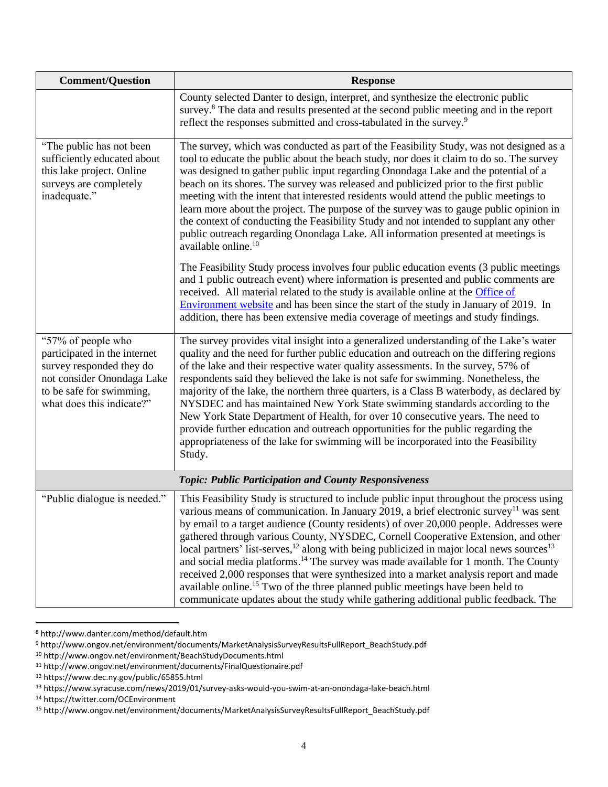| <b>Comment/Question</b>                                                                                                                                               | <b>Response</b>                                                                                                                                                                                                                                                                                                                                                                                                                                                                                                                                                                                                                                                                                                                                                                                                                                                                    |
|-----------------------------------------------------------------------------------------------------------------------------------------------------------------------|------------------------------------------------------------------------------------------------------------------------------------------------------------------------------------------------------------------------------------------------------------------------------------------------------------------------------------------------------------------------------------------------------------------------------------------------------------------------------------------------------------------------------------------------------------------------------------------------------------------------------------------------------------------------------------------------------------------------------------------------------------------------------------------------------------------------------------------------------------------------------------|
|                                                                                                                                                                       | County selected Danter to design, interpret, and synthesize the electronic public<br>survey. <sup>8</sup> The data and results presented at the second public meeting and in the report<br>reflect the responses submitted and cross-tabulated in the survey. <sup>9</sup>                                                                                                                                                                                                                                                                                                                                                                                                                                                                                                                                                                                                         |
| "The public has not been<br>sufficiently educated about<br>this lake project. Online<br>surveys are completely<br>inadequate."                                        | The survey, which was conducted as part of the Feasibility Study, was not designed as a<br>tool to educate the public about the beach study, nor does it claim to do so. The survey<br>was designed to gather public input regarding Onondaga Lake and the potential of a<br>beach on its shores. The survey was released and publicized prior to the first public<br>meeting with the intent that interested residents would attend the public meetings to<br>learn more about the project. The purpose of the survey was to gauge public opinion in<br>the context of conducting the Feasibility Study and not intended to supplant any other<br>public outreach regarding Onondaga Lake. All information presented at meetings is<br>available online. <sup>10</sup>                                                                                                            |
|                                                                                                                                                                       | The Feasibility Study process involves four public education events (3 public meetings<br>and 1 public outreach event) where information is presented and public comments are<br>received. All material related to the study is available online at the <b>Office</b> of<br><b>Environment website</b> and has been since the start of the study in January of 2019. In<br>addition, there has been extensive media coverage of meetings and study findings.                                                                                                                                                                                                                                                                                                                                                                                                                       |
| "57% of people who<br>participated in the internet<br>survey responded they do<br>not consider Onondaga Lake<br>to be safe for swimming,<br>what does this indicate?" | The survey provides vital insight into a generalized understanding of the Lake's water<br>quality and the need for further public education and outreach on the differing regions<br>of the lake and their respective water quality assessments. In the survey, 57% of<br>respondents said they believed the lake is not safe for swimming. Nonetheless, the<br>majority of the lake, the northern three quarters, is a Class B waterbody, as declared by<br>NYSDEC and has maintained New York State swimming standards according to the<br>New York State Department of Health, for over 10 consecutive years. The need to<br>provide further education and outreach opportunities for the public regarding the<br>appropriateness of the lake for swimming will be incorporated into the Feasibility<br>Study.                                                                  |
|                                                                                                                                                                       | <b>Topic: Public Participation and County Responsiveness</b>                                                                                                                                                                                                                                                                                                                                                                                                                                                                                                                                                                                                                                                                                                                                                                                                                       |
| "Public dialogue is needed."                                                                                                                                          | This Feasibility Study is structured to include public input throughout the process using<br>various means of communication. In January 2019, a brief electronic survey <sup>11</sup> was sent<br>by email to a target audience (County residents) of over 20,000 people. Addresses were<br>gathered through various County, NYSDEC, Cornell Cooperative Extension, and other<br>local partners' list-serves, <sup>12</sup> along with being publicized in major local news sources <sup>13</sup><br>and social media platforms. <sup>14</sup> The survey was made available for 1 month. The County<br>received 2,000 responses that were synthesized into a market analysis report and made<br>available online. <sup>15</sup> Two of the three planned public meetings have been held to<br>communicate updates about the study while gathering additional public feedback. The |

 $\overline{a}$ <sup>8</sup> http://www.danter.com/method/default.htm

<sup>9</sup> http://www.ongov.net/environment/documents/MarketAnalysisSurveyResultsFullReport\_BeachStudy.pdf

<sup>10</sup> http://www.ongov.net/environment/BeachStudyDocuments.html

<sup>11</sup> http://www.ongov.net/environment/documents/FinalQuestionaire.pdf

<sup>12</sup> https://www.dec.ny.gov/public/65855.html

<sup>13</sup> https://www.syracuse.com/news/2019/01/survey-asks-would-you-swim-at-an-onondaga-lake-beach.html

<sup>14</sup> https://twitter.com/OCEnvironment

<sup>15</sup> http://www.ongov.net/environment/documents/MarketAnalysisSurveyResultsFullReport\_BeachStudy.pdf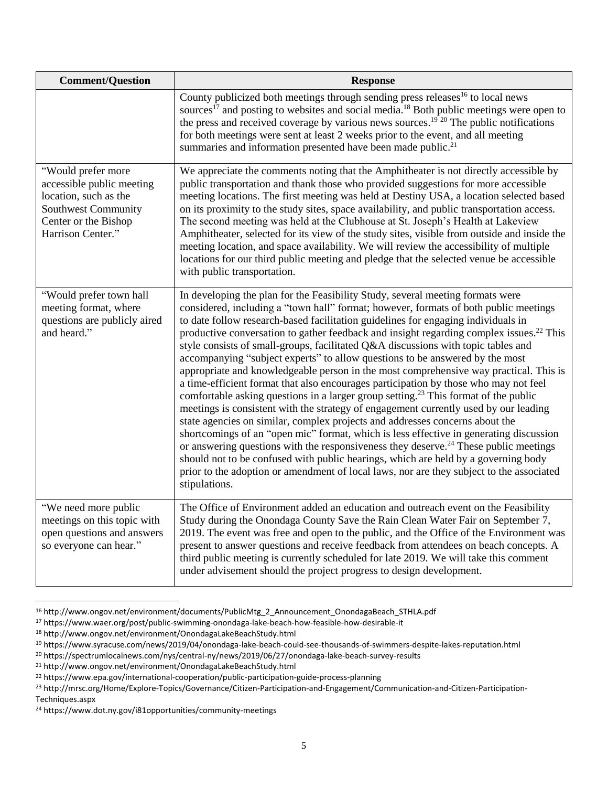| <b>Comment/Question</b>                                                                                                                             | <b>Response</b>                                                                                                                                                                                                                                                                                                                                                                                                                                                                                                                                                                                                                                                                                                                                                                                                                                                                                                                                                                                                                                                                                                                                                                                                                                                                                                                                                                                      |
|-----------------------------------------------------------------------------------------------------------------------------------------------------|------------------------------------------------------------------------------------------------------------------------------------------------------------------------------------------------------------------------------------------------------------------------------------------------------------------------------------------------------------------------------------------------------------------------------------------------------------------------------------------------------------------------------------------------------------------------------------------------------------------------------------------------------------------------------------------------------------------------------------------------------------------------------------------------------------------------------------------------------------------------------------------------------------------------------------------------------------------------------------------------------------------------------------------------------------------------------------------------------------------------------------------------------------------------------------------------------------------------------------------------------------------------------------------------------------------------------------------------------------------------------------------------------|
|                                                                                                                                                     | County publicized both meetings through sending press releases <sup>16</sup> to local news<br>sources <sup>17</sup> and posting to websites and social media. <sup>18</sup> Both public meetings were open to<br>the press and received coverage by various news sources. <sup>19</sup> <sup>20</sup> The public notifications<br>for both meetings were sent at least 2 weeks prior to the event, and all meeting<br>summaries and information presented have been made public. <sup>21</sup>                                                                                                                                                                                                                                                                                                                                                                                                                                                                                                                                                                                                                                                                                                                                                                                                                                                                                                       |
| "Would prefer more<br>accessible public meeting<br>location, such as the<br><b>Southwest Community</b><br>Center or the Bishop<br>Harrison Center." | We appreciate the comments noting that the Amphitheater is not directly accessible by<br>public transportation and thank those who provided suggestions for more accessible<br>meeting locations. The first meeting was held at Destiny USA, a location selected based<br>on its proximity to the study sites, space availability, and public transportation access.<br>The second meeting was held at the Clubhouse at St. Joseph's Health at Lakeview<br>Amphitheater, selected for its view of the study sites, visible from outside and inside the<br>meeting location, and space availability. We will review the accessibility of multiple<br>locations for our third public meeting and pledge that the selected venue be accessible<br>with public transportation.                                                                                                                                                                                                                                                                                                                                                                                                                                                                                                                                                                                                                           |
| "Would prefer town hall<br>meeting format, where<br>questions are publicly aired<br>and heard."                                                     | In developing the plan for the Feasibility Study, several meeting formats were<br>considered, including a "town hall" format; however, formats of both public meetings<br>to date follow research-based facilitation guidelines for engaging individuals in<br>productive conversation to gather feedback and insight regarding complex issues. <sup>22</sup> This<br>style consists of small-groups, facilitated Q&A discussions with topic tables and<br>accompanying "subject experts" to allow questions to be answered by the most<br>appropriate and knowledgeable person in the most comprehensive way practical. This is<br>a time-efficient format that also encourages participation by those who may not feel<br>comfortable asking questions in a larger group setting. <sup>23</sup> This format of the public<br>meetings is consistent with the strategy of engagement currently used by our leading<br>state agencies on similar, complex projects and addresses concerns about the<br>shortcomings of an "open mic" format, which is less effective in generating discussion<br>or answering questions with the responsiveness they deserve. <sup>24</sup> These public meetings<br>should not to be confused with public hearings, which are held by a governing body<br>prior to the adoption or amendment of local laws, nor are they subject to the associated<br>stipulations. |
| "We need more public<br>meetings on this topic with<br>open questions and answers<br>so everyone can hear."                                         | The Office of Environment added an education and outreach event on the Feasibility<br>Study during the Onondaga County Save the Rain Clean Water Fair on September 7,<br>2019. The event was free and open to the public, and the Office of the Environment was<br>present to answer questions and receive feedback from attendees on beach concepts. A<br>third public meeting is currently scheduled for late 2019. We will take this comment<br>under advisement should the project progress to design development.                                                                                                                                                                                                                                                                                                                                                                                                                                                                                                                                                                                                                                                                                                                                                                                                                                                                               |

 $\overline{\phantom{a}}$ <sup>16</sup> http://www.ongov.net/environment/documents/PublicMtg\_2\_Announcement\_OnondagaBeach\_STHLA.pdf

<sup>17</sup> https://www.waer.org/post/public-swimming-onondaga-lake-beach-how-feasible-how-desirable-it

<sup>18</sup> http://www.ongov.net/environment/OnondagaLakeBeachStudy.html

<sup>19</sup> https://www.syracuse.com/news/2019/04/onondaga-lake-beach-could-see-thousands-of-swimmers-despite-lakes-reputation.html

<sup>20</sup> https://spectrumlocalnews.com/nys/central-ny/news/2019/06/27/onondaga-lake-beach-survey-results

<sup>21</sup> http://www.ongov.net/environment/OnondagaLakeBeachStudy.html

<sup>22</sup> https://www.epa.gov/international-cooperation/public-participation-guide-process-planning

<sup>23</sup> http://mrsc.org/Home/Explore-Topics/Governance/Citizen-Participation-and-Engagement/Communication-and-Citizen-Participation-Techniques.aspx

<sup>24</sup> https://www.dot.ny.gov/i81opportunities/community-meetings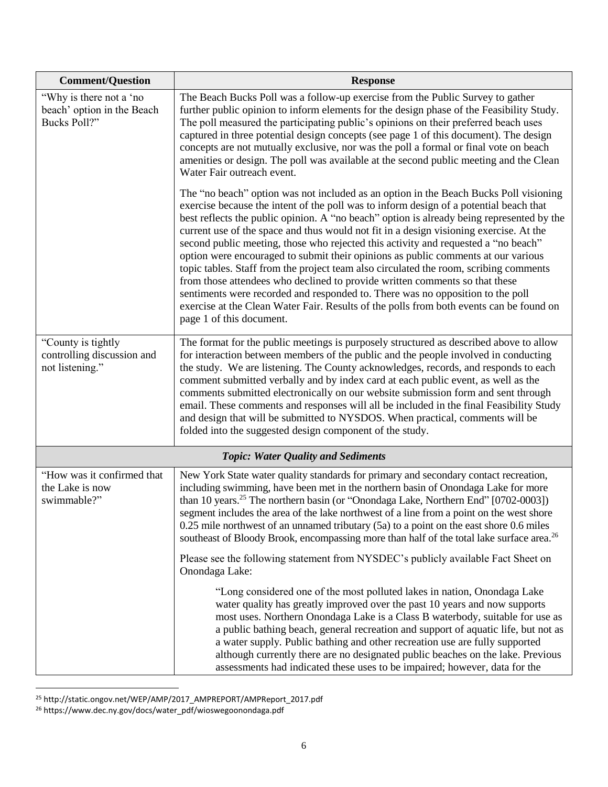| <b>Comment/Question</b>                                               | <b>Response</b>                                                                                                                                                                                                                                                                                                                                                                                                                                                                                                                                                                                                                                                                                                                                                                                                                                                                                                                    |
|-----------------------------------------------------------------------|------------------------------------------------------------------------------------------------------------------------------------------------------------------------------------------------------------------------------------------------------------------------------------------------------------------------------------------------------------------------------------------------------------------------------------------------------------------------------------------------------------------------------------------------------------------------------------------------------------------------------------------------------------------------------------------------------------------------------------------------------------------------------------------------------------------------------------------------------------------------------------------------------------------------------------|
| "Why is there not a 'no<br>beach' option in the Beach<br>Bucks Poll?" | The Beach Bucks Poll was a follow-up exercise from the Public Survey to gather<br>further public opinion to inform elements for the design phase of the Feasibility Study.<br>The poll measured the participating public's opinions on their preferred beach uses<br>captured in three potential design concepts (see page 1 of this document). The design<br>concepts are not mutually exclusive, nor was the poll a formal or final vote on beach<br>amenities or design. The poll was available at the second public meeting and the Clean<br>Water Fair outreach event.                                                                                                                                                                                                                                                                                                                                                        |
|                                                                       | The "no beach" option was not included as an option in the Beach Bucks Poll visioning<br>exercise because the intent of the poll was to inform design of a potential beach that<br>best reflects the public opinion. A "no beach" option is already being represented by the<br>current use of the space and thus would not fit in a design visioning exercise. At the<br>second public meeting, those who rejected this activity and requested a "no beach"<br>option were encouraged to submit their opinions as public comments at our various<br>topic tables. Staff from the project team also circulated the room, scribing comments<br>from those attendees who declined to provide written comments so that these<br>sentiments were recorded and responded to. There was no opposition to the poll<br>exercise at the Clean Water Fair. Results of the polls from both events can be found on<br>page 1 of this document. |
| "County is tightly"<br>controlling discussion and<br>not listening."  | The format for the public meetings is purposely structured as described above to allow<br>for interaction between members of the public and the people involved in conducting<br>the study. We are listening. The County acknowledges, records, and responds to each<br>comment submitted verbally and by index card at each public event, as well as the<br>comments submitted electronically on our website submission form and sent through<br>email. These comments and responses will all be included in the final Feasibility Study<br>and design that will be submitted to NYSDOS. When practical, comments will be<br>folded into the suggested design component of the study.                                                                                                                                                                                                                                             |
|                                                                       | <b>Topic: Water Quality and Sediments</b>                                                                                                                                                                                                                                                                                                                                                                                                                                                                                                                                                                                                                                                                                                                                                                                                                                                                                          |
| "How was it confirmed that<br>the Lake is now<br>swimmable?"          | New York State water quality standards for primary and secondary contact recreation,<br>including swimming, have been met in the northern basin of Onondaga Lake for more<br>than 10 years. <sup>25</sup> The northern basin (or "Onondaga Lake, Northern End" [0702-0003])<br>segment includes the area of the lake northwest of a line from a point on the west shore<br>$0.25$ mile northwest of an unnamed tributary $(5a)$ to a point on the east shore 0.6 miles<br>southeast of Bloody Brook, encompassing more than half of the total lake surface area. <sup>26</sup>                                                                                                                                                                                                                                                                                                                                                     |
|                                                                       | Please see the following statement from NYSDEC's publicly available Fact Sheet on<br>Onondaga Lake:                                                                                                                                                                                                                                                                                                                                                                                                                                                                                                                                                                                                                                                                                                                                                                                                                                |
|                                                                       | "Long considered one of the most polluted lakes in nation, Onondaga Lake<br>water quality has greatly improved over the past 10 years and now supports<br>most uses. Northern Onondaga Lake is a Class B waterbody, suitable for use as<br>a public bathing beach, general recreation and support of aquatic life, but not as<br>a water supply. Public bathing and other recreation use are fully supported<br>although currently there are no designated public beaches on the lake. Previous<br>assessments had indicated these uses to be impaired; however, data for the                                                                                                                                                                                                                                                                                                                                                      |

<sup>25</sup> http://static.ongov.net/WEP/AMP/2017\_AMPREPORT/AMPReport\_2017.pdf

 $\overline{\phantom{a}}$ 

<sup>26</sup> https://www.dec.ny.gov/docs/water\_pdf/wioswegoonondaga.pdf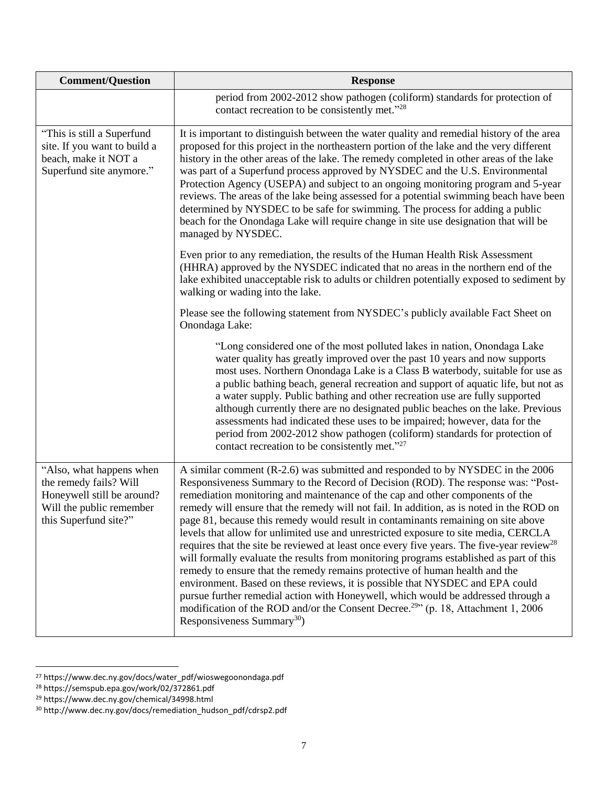| <b>Comment/Question</b>                                                                                                               | <b>Response</b>                                                                                                                                                                                                                                                                                                                                                                                                                                                                                                                                                                                                                                                                                                                                                                                                                                                                                                                                                                                                                                                                                                                  |
|---------------------------------------------------------------------------------------------------------------------------------------|----------------------------------------------------------------------------------------------------------------------------------------------------------------------------------------------------------------------------------------------------------------------------------------------------------------------------------------------------------------------------------------------------------------------------------------------------------------------------------------------------------------------------------------------------------------------------------------------------------------------------------------------------------------------------------------------------------------------------------------------------------------------------------------------------------------------------------------------------------------------------------------------------------------------------------------------------------------------------------------------------------------------------------------------------------------------------------------------------------------------------------|
|                                                                                                                                       | period from 2002-2012 show pathogen (coliform) standards for protection of<br>contact recreation to be consistently met."28                                                                                                                                                                                                                                                                                                                                                                                                                                                                                                                                                                                                                                                                                                                                                                                                                                                                                                                                                                                                      |
| "This is still a Superfund<br>site. If you want to build a<br>beach, make it NOT a<br>Superfund site anymore."                        | It is important to distinguish between the water quality and remedial history of the area<br>proposed for this project in the northeastern portion of the lake and the very different<br>history in the other areas of the lake. The remedy completed in other areas of the lake<br>was part of a Superfund process approved by NYSDEC and the U.S. Environmental<br>Protection Agency (USEPA) and subject to an ongoing monitoring program and 5-year<br>reviews. The areas of the lake being assessed for a potential swimming beach have been<br>determined by NYSDEC to be safe for swimming. The process for adding a public<br>beach for the Onondaga Lake will require change in site use designation that will be<br>managed by NYSDEC.                                                                                                                                                                                                                                                                                                                                                                                  |
|                                                                                                                                       | Even prior to any remediation, the results of the Human Health Risk Assessment<br>(HHRA) approved by the NYSDEC indicated that no areas in the northern end of the<br>lake exhibited unacceptable risk to adults or children potentially exposed to sediment by<br>walking or wading into the lake.                                                                                                                                                                                                                                                                                                                                                                                                                                                                                                                                                                                                                                                                                                                                                                                                                              |
|                                                                                                                                       | Please see the following statement from NYSDEC's publicly available Fact Sheet on<br>Onondaga Lake:                                                                                                                                                                                                                                                                                                                                                                                                                                                                                                                                                                                                                                                                                                                                                                                                                                                                                                                                                                                                                              |
|                                                                                                                                       | "Long considered one of the most polluted lakes in nation, Onondaga Lake<br>water quality has greatly improved over the past 10 years and now supports<br>most uses. Northern Onondaga Lake is a Class B waterbody, suitable for use as<br>a public bathing beach, general recreation and support of aquatic life, but not as<br>a water supply. Public bathing and other recreation use are fully supported<br>although currently there are no designated public beaches on the lake. Previous<br>assessments had indicated these uses to be impaired; however, data for the<br>period from 2002-2012 show pathogen (coliform) standards for protection of<br>contact recreation to be consistently met." <sup>27</sup>                                                                                                                                                                                                                                                                                                                                                                                                         |
| "Also, what happens when<br>the remedy fails? Will<br>Honeywell still be around?<br>Will the public remember<br>this Superfund site?" | A similar comment (R-2.6) was submitted and responded to by NYSDEC in the 2006<br>Responsiveness Summary to the Record of Decision (ROD). The response was: "Post-<br>remediation monitoring and maintenance of the cap and other components of the<br>remedy will ensure that the remedy will not fail. In addition, as is noted in the ROD on<br>page 81, because this remedy would result in contaminants remaining on site above<br>levels that allow for unlimited use and unrestricted exposure to site media, CERCLA<br>requires that the site be reviewed at least once every five years. The five-year review <sup>28</sup><br>will formally evaluate the results from monitoring programs established as part of this<br>remedy to ensure that the remedy remains protective of human health and the<br>environment. Based on these reviews, it is possible that NYSDEC and EPA could<br>pursue further remedial action with Honeywell, which would be addressed through a<br>modification of the ROD and/or the Consent Decree. <sup>29</sup> " (p. 18, Attachment 1, 2006)<br>Responsiveness Summary <sup>30</sup> ) |

<sup>27</sup> https://www.dec.ny.gov/docs/water\_pdf/wioswegoonondaga.pdf

<sup>28</sup> https://semspub.epa.gov/work/02/372861.pdf

<sup>29</sup> https://www.dec.ny.gov/chemical/34998.html

<sup>30</sup> http://www.dec.ny.gov/docs/remediation\_hudson\_pdf/cdrsp2.pdf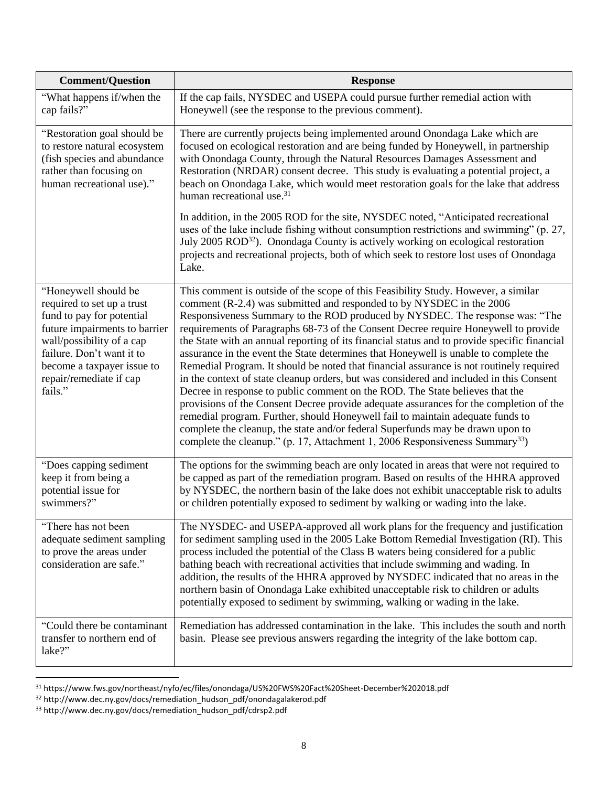| <b>Comment/Question</b>                                                                                                                                                                                                                        | <b>Response</b>                                                                                                                                                                                                                                                                                                                                                                                                                                                                                                                                                                                                                                                                                                                                                                                                                                                                                                                                                                                                                                                                                                                                           |  |
|------------------------------------------------------------------------------------------------------------------------------------------------------------------------------------------------------------------------------------------------|-----------------------------------------------------------------------------------------------------------------------------------------------------------------------------------------------------------------------------------------------------------------------------------------------------------------------------------------------------------------------------------------------------------------------------------------------------------------------------------------------------------------------------------------------------------------------------------------------------------------------------------------------------------------------------------------------------------------------------------------------------------------------------------------------------------------------------------------------------------------------------------------------------------------------------------------------------------------------------------------------------------------------------------------------------------------------------------------------------------------------------------------------------------|--|
| "What happens if/when the<br>cap fails?"                                                                                                                                                                                                       | If the cap fails, NYSDEC and USEPA could pursue further remedial action with<br>Honeywell (see the response to the previous comment).                                                                                                                                                                                                                                                                                                                                                                                                                                                                                                                                                                                                                                                                                                                                                                                                                                                                                                                                                                                                                     |  |
| "Restoration goal should be<br>to restore natural ecosystem<br>(fish species and abundance<br>rather than focusing on<br>human recreational use)."                                                                                             | There are currently projects being implemented around Onondaga Lake which are<br>focused on ecological restoration and are being funded by Honeywell, in partnership<br>with Onondaga County, through the Natural Resources Damages Assessment and<br>Restoration (NRDAR) consent decree. This study is evaluating a potential project, a<br>beach on Onondaga Lake, which would meet restoration goals for the lake that address<br>human recreational use. <sup>31</sup>                                                                                                                                                                                                                                                                                                                                                                                                                                                                                                                                                                                                                                                                                |  |
|                                                                                                                                                                                                                                                | In addition, in the 2005 ROD for the site, NYSDEC noted, "Anticipated recreational<br>uses of the lake include fishing without consumption restrictions and swimming" (p. 27,<br>July 2005 ROD <sup>32</sup> ). Onondaga County is actively working on ecological restoration<br>projects and recreational projects, both of which seek to restore lost uses of Onondaga<br>Lake.                                                                                                                                                                                                                                                                                                                                                                                                                                                                                                                                                                                                                                                                                                                                                                         |  |
| "Honeywell should be<br>required to set up a trust<br>fund to pay for potential<br>future impairments to barrier<br>wall/possibility of a cap<br>failure. Don't want it to<br>become a taxpayer issue to<br>repair/remediate if cap<br>fails." | This comment is outside of the scope of this Feasibility Study. However, a similar<br>comment (R-2.4) was submitted and responded to by NYSDEC in the 2006<br>Responsiveness Summary to the ROD produced by NYSDEC. The response was: "The<br>requirements of Paragraphs 68-73 of the Consent Decree require Honeywell to provide<br>the State with an annual reporting of its financial status and to provide specific financial<br>assurance in the event the State determines that Honeywell is unable to complete the<br>Remedial Program. It should be noted that financial assurance is not routinely required<br>in the context of state cleanup orders, but was considered and included in this Consent<br>Decree in response to public comment on the ROD. The State believes that the<br>provisions of the Consent Decree provide adequate assurances for the completion of the<br>remedial program. Further, should Honeywell fail to maintain adequate funds to<br>complete the cleanup, the state and/or federal Superfunds may be drawn upon to<br>complete the cleanup." (p. 17, Attachment 1, 2006 Responsiveness Summary <sup>33</sup> ) |  |
| "Does capping sediment<br>keep it from being a<br>potential issue for<br>swimmers?"                                                                                                                                                            | The options for the swimming beach are only located in areas that were not required to<br>be capped as part of the remediation program. Based on results of the HHRA approved<br>by NYSDEC, the northern basin of the lake does not exhibit unacceptable risk to adults<br>or children potentially exposed to sediment by walking or wading into the lake.                                                                                                                                                                                                                                                                                                                                                                                                                                                                                                                                                                                                                                                                                                                                                                                                |  |
| "There has not been<br>adequate sediment sampling<br>to prove the areas under<br>consideration are safe."                                                                                                                                      | The NYSDEC- and USEPA-approved all work plans for the frequency and justification<br>for sediment sampling used in the 2005 Lake Bottom Remedial Investigation (RI). This<br>process included the potential of the Class B waters being considered for a public<br>bathing beach with recreational activities that include swimming and wading. In<br>addition, the results of the HHRA approved by NYSDEC indicated that no areas in the<br>northern basin of Onondaga Lake exhibited unacceptable risk to children or adults<br>potentially exposed to sediment by swimming, walking or wading in the lake.                                                                                                                                                                                                                                                                                                                                                                                                                                                                                                                                             |  |
| "Could there be contaminant<br>transfer to northern end of<br>lake?"                                                                                                                                                                           | Remediation has addressed contamination in the lake. This includes the south and north<br>basin. Please see previous answers regarding the integrity of the lake bottom cap.                                                                                                                                                                                                                                                                                                                                                                                                                                                                                                                                                                                                                                                                                                                                                                                                                                                                                                                                                                              |  |

l <sup>31</sup> https://www.fws.gov/northeast/nyfo/ec/files/onondaga/US%20FWS%20Fact%20Sheet-December%202018.pdf

<sup>32</sup> http://www.dec.ny.gov/docs/remediation\_hudson\_pdf/onondagalakerod.pdf

<sup>33</sup> http://www.dec.ny.gov/docs/remediation\_hudson\_pdf/cdrsp2.pdf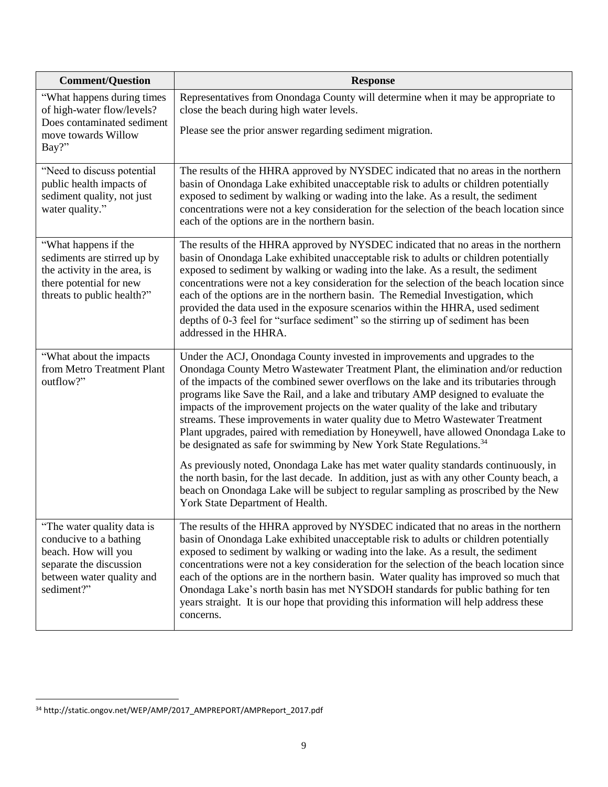| <b>Comment/Question</b>                                                                                                                           | <b>Response</b>                                                                                                                                                                                                                                                                                                                                                                                                                                                                                                                                                                                                                                                                                                                                                                                                                                                                                                                                                                |
|---------------------------------------------------------------------------------------------------------------------------------------------------|--------------------------------------------------------------------------------------------------------------------------------------------------------------------------------------------------------------------------------------------------------------------------------------------------------------------------------------------------------------------------------------------------------------------------------------------------------------------------------------------------------------------------------------------------------------------------------------------------------------------------------------------------------------------------------------------------------------------------------------------------------------------------------------------------------------------------------------------------------------------------------------------------------------------------------------------------------------------------------|
| "What happens during times"<br>of high-water flow/levels?                                                                                         | Representatives from Onondaga County will determine when it may be appropriate to<br>close the beach during high water levels.                                                                                                                                                                                                                                                                                                                                                                                                                                                                                                                                                                                                                                                                                                                                                                                                                                                 |
| Does contaminated sediment<br>move towards Willow<br>Bay?"                                                                                        | Please see the prior answer regarding sediment migration.                                                                                                                                                                                                                                                                                                                                                                                                                                                                                                                                                                                                                                                                                                                                                                                                                                                                                                                      |
| "Need to discuss potential<br>public health impacts of<br>sediment quality, not just<br>water quality."                                           | The results of the HHRA approved by NYSDEC indicated that no areas in the northern<br>basin of Onondaga Lake exhibited unacceptable risk to adults or children potentially<br>exposed to sediment by walking or wading into the lake. As a result, the sediment<br>concentrations were not a key consideration for the selection of the beach location since<br>each of the options are in the northern basin.                                                                                                                                                                                                                                                                                                                                                                                                                                                                                                                                                                 |
| "What happens if the<br>sediments are stirred up by<br>the activity in the area, is<br>there potential for new<br>threats to public health?"      | The results of the HHRA approved by NYSDEC indicated that no areas in the northern<br>basin of Onondaga Lake exhibited unacceptable risk to adults or children potentially<br>exposed to sediment by walking or wading into the lake. As a result, the sediment<br>concentrations were not a key consideration for the selection of the beach location since<br>each of the options are in the northern basin. The Remedial Investigation, which<br>provided the data used in the exposure scenarios within the HHRA, used sediment<br>depths of 0-3 feel for "surface sediment" so the stirring up of sediment has been<br>addressed in the HHRA.                                                                                                                                                                                                                                                                                                                             |
| "What about the impacts<br>from Metro Treatment Plant<br>outflow?"                                                                                | Under the ACJ, Onondaga County invested in improvements and upgrades to the<br>Onondaga County Metro Wastewater Treatment Plant, the elimination and/or reduction<br>of the impacts of the combined sewer overflows on the lake and its tributaries through<br>programs like Save the Rail, and a lake and tributary AMP designed to evaluate the<br>impacts of the improvement projects on the water quality of the lake and tributary<br>streams. These improvements in water quality due to Metro Wastewater Treatment<br>Plant upgrades, paired with remediation by Honeywell, have allowed Onondaga Lake to<br>be designated as safe for swimming by New York State Regulations. <sup>34</sup><br>As previously noted, Onondaga Lake has met water quality standards continuously, in<br>the north basin, for the last decade. In addition, just as with any other County beach, a<br>beach on Onondaga Lake will be subject to regular sampling as proscribed by the New |
| "The water quality data is<br>conducive to a bathing<br>beach. How will you<br>separate the discussion<br>between water quality and<br>sediment?" | York State Department of Health.<br>The results of the HHRA approved by NYSDEC indicated that no areas in the northern<br>basin of Onondaga Lake exhibited unacceptable risk to adults or children potentially<br>exposed to sediment by walking or wading into the lake. As a result, the sediment<br>concentrations were not a key consideration for the selection of the beach location since<br>each of the options are in the northern basin. Water quality has improved so much that<br>Onondaga Lake's north basin has met NYSDOH standards for public bathing for ten<br>years straight. It is our hope that providing this information will help address these<br>concerns.                                                                                                                                                                                                                                                                                           |

 $\overline{a}$ <sup>34</sup> http://static.ongov.net/WEP/AMP/2017\_AMPREPORT/AMPReport\_2017.pdf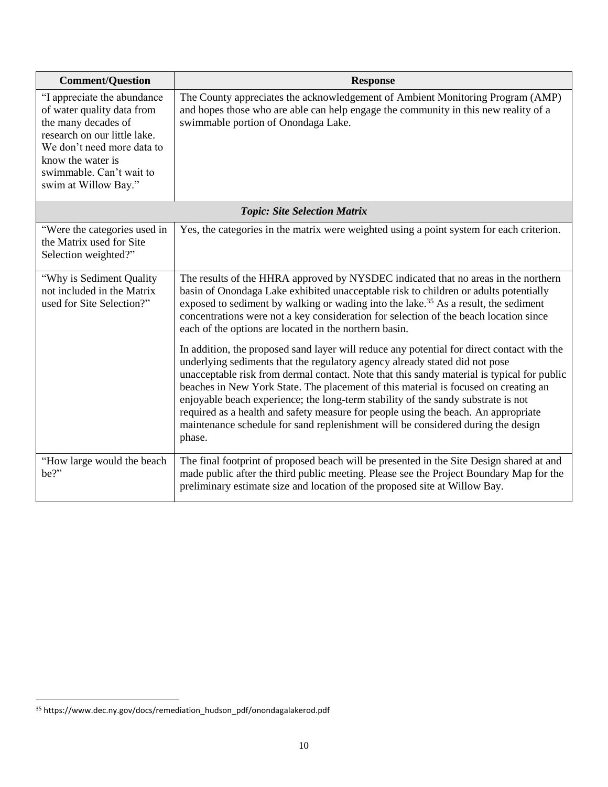| <b>Comment/Question</b>                                                                                                                                                                                                 | <b>Response</b>                                                                                                                                                                                                                                                                                                                                                                                                                                                                                                                                                                                                                         |  |
|-------------------------------------------------------------------------------------------------------------------------------------------------------------------------------------------------------------------------|-----------------------------------------------------------------------------------------------------------------------------------------------------------------------------------------------------------------------------------------------------------------------------------------------------------------------------------------------------------------------------------------------------------------------------------------------------------------------------------------------------------------------------------------------------------------------------------------------------------------------------------------|--|
| "I appreciate the abundance<br>of water quality data from<br>the many decades of<br>research on our little lake.<br>We don't need more data to<br>know the water is<br>swimmable. Can't wait to<br>swim at Willow Bay." | The County appreciates the acknowledgement of Ambient Monitoring Program (AMP)<br>and hopes those who are able can help engage the community in this new reality of a<br>swimmable portion of Onondaga Lake.                                                                                                                                                                                                                                                                                                                                                                                                                            |  |
|                                                                                                                                                                                                                         | <b>Topic: Site Selection Matrix</b>                                                                                                                                                                                                                                                                                                                                                                                                                                                                                                                                                                                                     |  |
| "Were the categories used in<br>the Matrix used for Site<br>Selection weighted?"                                                                                                                                        | Yes, the categories in the matrix were weighted using a point system for each criterion.                                                                                                                                                                                                                                                                                                                                                                                                                                                                                                                                                |  |
| "Why is Sediment Quality"<br>not included in the Matrix<br>used for Site Selection?"                                                                                                                                    | The results of the HHRA approved by NYSDEC indicated that no areas in the northern<br>basin of Onondaga Lake exhibited unacceptable risk to children or adults potentially<br>exposed to sediment by walking or wading into the lake. <sup>35</sup> As a result, the sediment<br>concentrations were not a key consideration for selection of the beach location since<br>each of the options are located in the northern basin.                                                                                                                                                                                                        |  |
|                                                                                                                                                                                                                         | In addition, the proposed sand layer will reduce any potential for direct contact with the<br>underlying sediments that the regulatory agency already stated did not pose<br>unacceptable risk from dermal contact. Note that this sandy material is typical for public<br>beaches in New York State. The placement of this material is focused on creating an<br>enjoyable beach experience; the long-term stability of the sandy substrate is not<br>required as a health and safety measure for people using the beach. An appropriate<br>maintenance schedule for sand replenishment will be considered during the design<br>phase. |  |
| "How large would the beach"<br>be?"                                                                                                                                                                                     | The final footprint of proposed beach will be presented in the Site Design shared at and<br>made public after the third public meeting. Please see the Project Boundary Map for the<br>preliminary estimate size and location of the proposed site at Willow Bay.                                                                                                                                                                                                                                                                                                                                                                       |  |

<sup>35</sup> https://www.dec.ny.gov/docs/remediation\_hudson\_pdf/onondagalakerod.pdf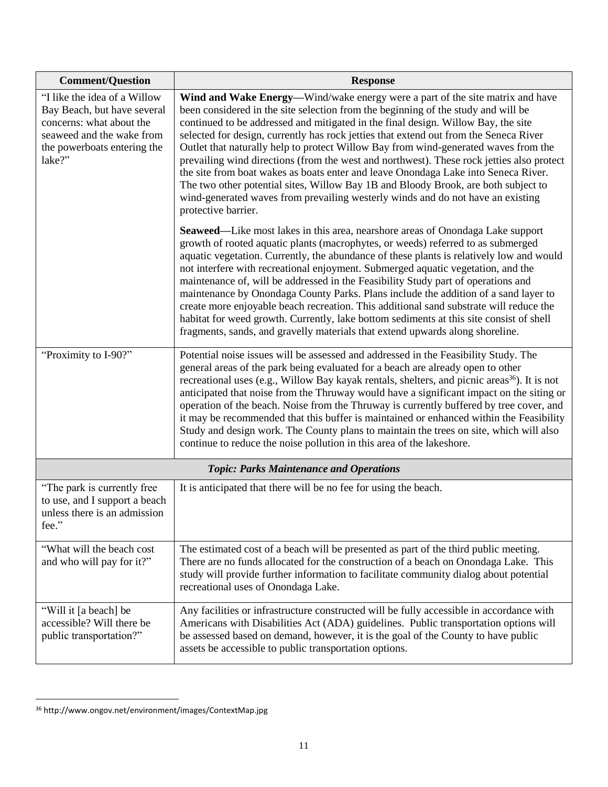| <b>Comment/Question</b>                                                                                                                                       | <b>Response</b>                                                                                                                                                                                                                                                                                                                                                                                                                                                                                                                                                                                                                                                                                                                                                                                                            |
|---------------------------------------------------------------------------------------------------------------------------------------------------------------|----------------------------------------------------------------------------------------------------------------------------------------------------------------------------------------------------------------------------------------------------------------------------------------------------------------------------------------------------------------------------------------------------------------------------------------------------------------------------------------------------------------------------------------------------------------------------------------------------------------------------------------------------------------------------------------------------------------------------------------------------------------------------------------------------------------------------|
| "I like the idea of a Willow<br>Bay Beach, but have several<br>concerns: what about the<br>seaweed and the wake from<br>the powerboats entering the<br>lake?" | Wind and Wake Energy—Wind/wake energy were a part of the site matrix and have<br>been considered in the site selection from the beginning of the study and will be<br>continued to be addressed and mitigated in the final design. Willow Bay, the site<br>selected for design, currently has rock jetties that extend out from the Seneca River<br>Outlet that naturally help to protect Willow Bay from wind-generated waves from the<br>prevailing wind directions (from the west and northwest). These rock jetties also protect<br>the site from boat wakes as boats enter and leave Onondaga Lake into Seneca River.<br>The two other potential sites, Willow Bay 1B and Bloody Brook, are both subject to<br>wind-generated waves from prevailing westerly winds and do not have an existing<br>protective barrier. |
|                                                                                                                                                               | <b>Seaweed—Like most lakes in this area, nearshore areas of Onondaga Lake support</b><br>growth of rooted aquatic plants (macrophytes, or weeds) referred to as submerged<br>aquatic vegetation. Currently, the abundance of these plants is relatively low and would<br>not interfere with recreational enjoyment. Submerged aquatic vegetation, and the<br>maintenance of, will be addressed in the Feasibility Study part of operations and<br>maintenance by Onondaga County Parks. Plans include the addition of a sand layer to<br>create more enjoyable beach recreation. This additional sand substrate will reduce the<br>habitat for weed growth. Currently, lake bottom sediments at this site consist of shell<br>fragments, sands, and gravelly materials that extend upwards along shoreline.                |
| "Proximity to I-90?"                                                                                                                                          | Potential noise issues will be assessed and addressed in the Feasibility Study. The<br>general areas of the park being evaluated for a beach are already open to other<br>recreational uses (e.g., Willow Bay kayak rentals, shelters, and picnic areas <sup>36</sup> ). It is not<br>anticipated that noise from the Thruway would have a significant impact on the siting or<br>operation of the beach. Noise from the Thruway is currently buffered by tree cover, and<br>it may be recommended that this buffer is maintained or enhanced within the Feasibility<br>Study and design work. The County plans to maintain the trees on site, which will also<br>continue to reduce the noise pollution in this area of the lakeshore.                                                                                    |
|                                                                                                                                                               | <b>Topic: Parks Maintenance and Operations</b>                                                                                                                                                                                                                                                                                                                                                                                                                                                                                                                                                                                                                                                                                                                                                                             |
| "The park is currently free<br>to use, and I support a beach<br>unless there is an admission<br>fee."                                                         | It is anticipated that there will be no fee for using the beach.                                                                                                                                                                                                                                                                                                                                                                                                                                                                                                                                                                                                                                                                                                                                                           |
| "What will the beach cost"<br>and who will pay for it?"                                                                                                       | The estimated cost of a beach will be presented as part of the third public meeting.<br>There are no funds allocated for the construction of a beach on Onondaga Lake. This<br>study will provide further information to facilitate community dialog about potential<br>recreational uses of Onondaga Lake.                                                                                                                                                                                                                                                                                                                                                                                                                                                                                                                |
| "Will it [a beach] be<br>accessible? Will there be<br>public transportation?"                                                                                 | Any facilities or infrastructure constructed will be fully accessible in accordance with<br>Americans with Disabilities Act (ADA) guidelines. Public transportation options will<br>be assessed based on demand, however, it is the goal of the County to have public<br>assets be accessible to public transportation options.                                                                                                                                                                                                                                                                                                                                                                                                                                                                                            |

<sup>36</sup> http://www.ongov.net/environment/images/ContextMap.jpg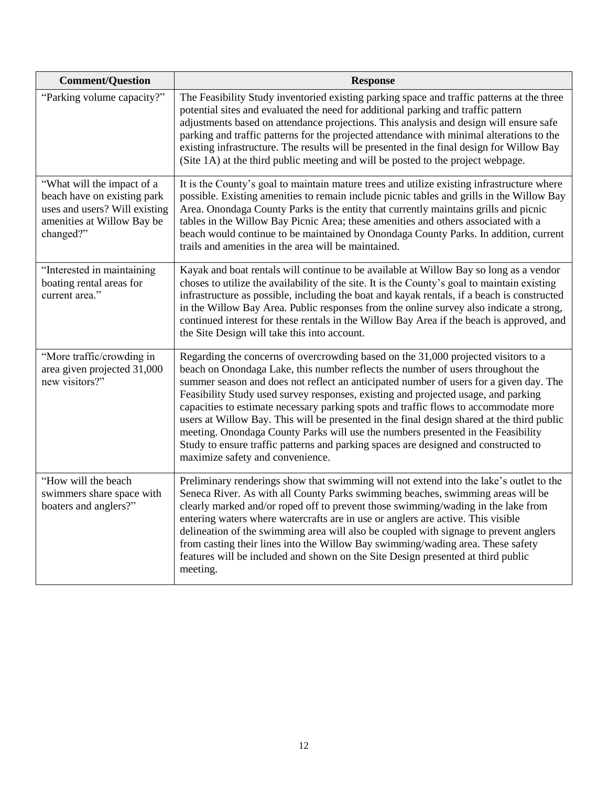| <b>Comment/Question</b>                                                                                                               | <b>Response</b>                                                                                                                                                                                                                                                                                                                                                                                                                                                                                                                                                                                                                                                                                                                                            |  |
|---------------------------------------------------------------------------------------------------------------------------------------|------------------------------------------------------------------------------------------------------------------------------------------------------------------------------------------------------------------------------------------------------------------------------------------------------------------------------------------------------------------------------------------------------------------------------------------------------------------------------------------------------------------------------------------------------------------------------------------------------------------------------------------------------------------------------------------------------------------------------------------------------------|--|
| "Parking volume capacity?"                                                                                                            | The Feasibility Study inventoried existing parking space and traffic patterns at the three<br>potential sites and evaluated the need for additional parking and traffic pattern<br>adjustments based on attendance projections. This analysis and design will ensure safe<br>parking and traffic patterns for the projected attendance with minimal alterations to the<br>existing infrastructure. The results will be presented in the final design for Willow Bay<br>(Site 1A) at the third public meeting and will be posted to the project webpage.                                                                                                                                                                                                    |  |
| "What will the impact of a<br>beach have on existing park<br>uses and users? Will existing<br>amenities at Willow Bay be<br>changed?" | It is the County's goal to maintain mature trees and utilize existing infrastructure where<br>possible. Existing amenities to remain include picnic tables and grills in the Willow Bay<br>Area. Onondaga County Parks is the entity that currently maintains grills and picnic<br>tables in the Willow Bay Picnic Area; these amenities and others associated with a<br>beach would continue to be maintained by Onondaga County Parks. In addition, current<br>trails and amenities in the area will be maintained.                                                                                                                                                                                                                                      |  |
| "Interested in maintaining<br>boating rental areas for<br>current area."                                                              | Kayak and boat rentals will continue to be available at Willow Bay so long as a vendor<br>choses to utilize the availability of the site. It is the County's goal to maintain existing<br>infrastructure as possible, including the boat and kayak rentals, if a beach is constructed<br>in the Willow Bay Area. Public responses from the online survey also indicate a strong,<br>continued interest for these rentals in the Willow Bay Area if the beach is approved, and<br>the Site Design will take this into account.                                                                                                                                                                                                                              |  |
| "More traffic/crowding in<br>area given projected 31,000<br>new visitors?"                                                            | Regarding the concerns of overcrowding based on the 31,000 projected visitors to a<br>beach on Onondaga Lake, this number reflects the number of users throughout the<br>summer season and does not reflect an anticipated number of users for a given day. The<br>Feasibility Study used survey responses, existing and projected usage, and parking<br>capacities to estimate necessary parking spots and traffic flows to accommodate more<br>users at Willow Bay. This will be presented in the final design shared at the third public<br>meeting. Onondaga County Parks will use the numbers presented in the Feasibility<br>Study to ensure traffic patterns and parking spaces are designed and constructed to<br>maximize safety and convenience. |  |
| "How will the beach<br>swimmers share space with<br>boaters and anglers?"                                                             | Preliminary renderings show that swimming will not extend into the lake's outlet to the<br>Seneca River. As with all County Parks swimming beaches, swimming areas will be<br>clearly marked and/or roped off to prevent those swimming/wading in the lake from<br>entering waters where watercrafts are in use or anglers are active. This visible<br>delineation of the swimming area will also be coupled with signage to prevent anglers<br>from casting their lines into the Willow Bay swimming/wading area. These safety<br>features will be included and shown on the Site Design presented at third public<br>meeting.                                                                                                                            |  |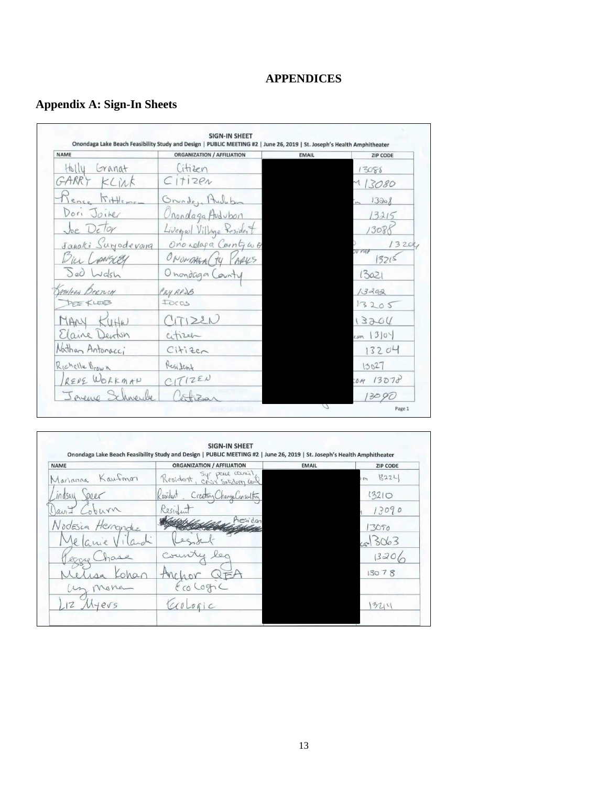# **APPENDICES**

# **Appendix A: Sign-In Sheets**

| <b>NAME</b>                  | <b>ORGANIZATION / AFFILIATION</b> | <b>EMAIL</b> | <b>ZIP CODE</b> |
|------------------------------|-----------------------------------|--------------|-----------------|
| Holly<br>Granat              | Citizen                           |              | 13088           |
| GARR<br>KLINK                | C1112en                           |              | 13080           |
| 5H <sub>the</sub>            | Grunde, Audubin                   |              | 13008           |
| Dori Joiker                  | Onondaga Audubon                  |              | 13215           |
| Joe Delor                    | Livenpal Village Resident         |              | 1308            |
| Janaki Surjodevara           | Ono relaga County w 8             |              | 13200           |
| in Lowsery                   | ONONDAGA (TY<br>ARKS              |              | OV ner<br>13215 |
| Sed Wash                     | Onondaga County                   |              | 13021           |
| ATHLEEN BERTICH              | CRY RPSB                          |              | 13202           |
| DEE KLEEB                    | Foras                             |              | 13205           |
| MARY<br>$K(\theta + \theta)$ | 25122N                            |              | 13204           |
| Elaine Denton                | citizen                           |              | cm 130          |
| Nathan Antonacci             | Cifize <sub>c</sub>               |              | 13204           |
| Richelle Brown               | Resident                          |              | 13027           |
| RENE WORKMAN                 | C1712EU                           |              | COM 13078       |
| Javeno Schneibe              |                                   |              | 13090           |

| <b>NAME</b>              | <b>ORGANIZATION / AFFILIATION</b>       | <b>EMAIL</b> | <b>ZIP CODE</b>   |
|--------------------------|-----------------------------------------|--------------|-------------------|
| Kaufmon<br>Marianna      | Syr peace council<br>Resident,          |              | 13221<br>$\omega$ |
| peer<br>indsay           | Creating Change Cansulting<br>Kesident. |              | 13210             |
| hurn                     | Resident                                |              | 13090             |
| Nodesia Herrandez        | hesidan                                 |              | 13090             |
| lanie                    |                                         |              | 5063              |
|                          | $\vee$                                  |              | 13206             |
|                          |                                         |              | 13078             |
|                          | EcoCogna                                |              |                   |
| $\mathbb{Z}$<br>$e\nu s$ | colorsic                                |              | 3711              |